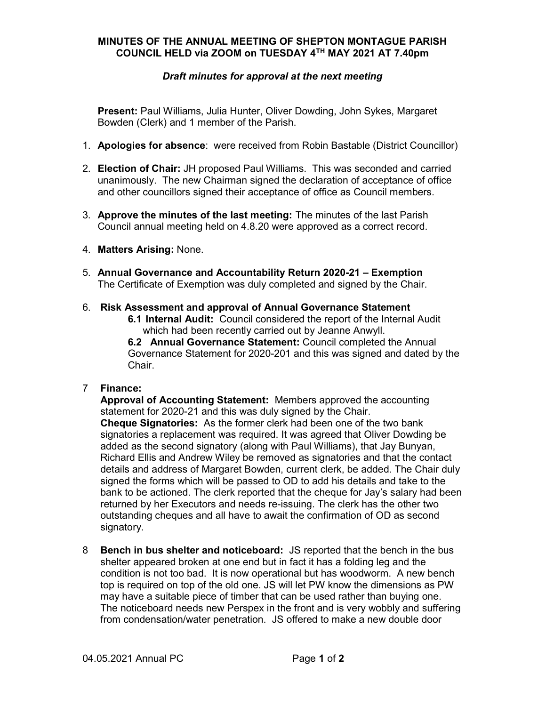## MINUTES OF THE ANNUAL MEETING OF SHEPTON MONTAGUE PARISH COUNCIL HELD via ZOOM on TUESDAY 4TH MAY 2021 AT 7.40pm

## Draft minutes for approval at the next meeting

Present: Paul Williams, Julia Hunter, Oliver Dowding, John Sykes, Margaret Bowden (Clerk) and 1 member of the Parish.

- 1. Apologies for absence: were received from Robin Bastable (District Councillor)
- 2. Election of Chair: JH proposed Paul Williams. This was seconded and carried unanimously. The new Chairman signed the declaration of acceptance of office and other councillors signed their acceptance of office as Council members.
- 3. Approve the minutes of the last meeting: The minutes of the last Parish Council annual meeting held on 4.8.20 were approved as a correct record.
- 4. Matters Arising: None.
- 5. Annual Governance and Accountability Return 2020-21 Exemption The Certificate of Exemption was duly completed and signed by the Chair.
- 6. Risk Assessment and approval of Annual Governance Statement
	- 6.1 Internal Audit: Council considered the report of the Internal Audit which had been recently carried out by Jeanne Anwyll.

6.2 Annual Governance Statement: Council completed the Annual Governance Statement for 2020-201 and this was signed and dated by the Chair.

#### 7 Finance:

Approval of Accounting Statement: Members approved the accounting statement for 2020-21 and this was duly signed by the Chair. **Cheque Signatories:** As the former clerk had been one of the two bank signatories a replacement was required. It was agreed that Oliver Dowding be added as the second signatory (along with Paul Williams), that Jay Bunyan, Richard Ellis and Andrew Wiley be removed as signatories and that the contact details and address of Margaret Bowden, current clerk, be added. The Chair duly signed the forms which will be passed to OD to add his details and take to the bank to be actioned. The clerk reported that the cheque for Jay's salary had been returned by her Executors and needs re-issuing. The clerk has the other two outstanding cheques and all have to await the confirmation of OD as second signatory.

8 Bench in bus shelter and noticeboard: JS reported that the bench in the bus shelter appeared broken at one end but in fact it has a folding leg and the condition is not too bad. It is now operational but has woodworm. A new bench top is required on top of the old one. JS will let PW know the dimensions as PW may have a suitable piece of timber that can be used rather than buying one. The noticeboard needs new Perspex in the front and is very wobbly and suffering from condensation/water penetration. JS offered to make a new double door